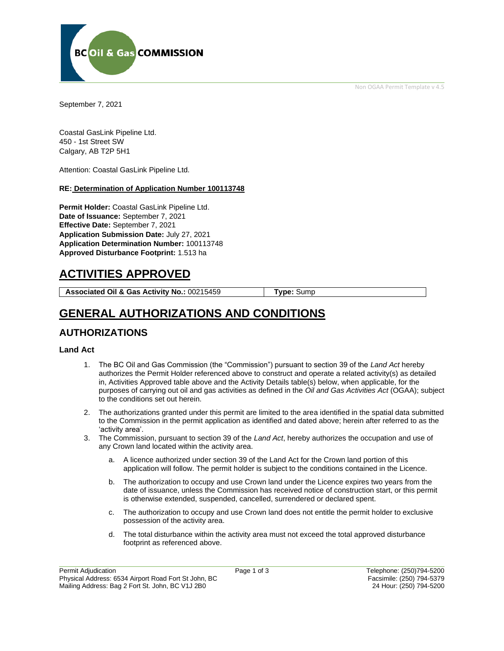Non OGAA Permit Template v 4.5



September 7, 2021

Coastal GasLink Pipeline Ltd. 450 - 1st Street SW Calgary, AB T2P 5H1

Attention: Coastal GasLink Pipeline Ltd.

#### **RE: Determination of Application Number 100113748**

**Permit Holder:** Coastal GasLink Pipeline Ltd. **Date of Issuance:** September 7, 2021 **Effective Date:** September 7, 2021 **Application Submission Date:** July 27, 2021 **Application Determination Number:** 100113748 **Approved Disturbance Footprint:** 1.513 ha

# **ACTIVITIES APPROVED**

**Associated Oil & Gas Activity No.:** 00215459 **Type:** Sump

# **GENERAL AUTHORIZATIONS AND CONDITIONS**

### **AUTHORIZATIONS**

#### **Land Act**

- 1. The BC Oil and Gas Commission (the "Commission") pursuant to section 39 of the *Land Act* hereby authorizes the Permit Holder referenced above to construct and operate a related activity(s) as detailed in, Activities Approved table above and the Activity Details table(s) below, when applicable, for the purposes of carrying out oil and gas activities as defined in the *Oil and Gas Activities Act* (OGAA); subject to the conditions set out herein.
- 2. The authorizations granted under this permit are limited to the area identified in the spatial data submitted to the Commission in the permit application as identified and dated above; herein after referred to as the 'activity area'.
- 3. The Commission, pursuant to section 39 of the *Land Act*, hereby authorizes the occupation and use of any Crown land located within the activity area.
	- a. A licence authorized under section 39 of the Land Act for the Crown land portion of this application will follow. The permit holder is subject to the conditions contained in the Licence.
	- b. The authorization to occupy and use Crown land under the Licence expires two years from the date of issuance, unless the Commission has received notice of construction start, or this permit is otherwise extended, suspended, cancelled, surrendered or declared spent.
	- c. The authorization to occupy and use Crown land does not entitle the permit holder to exclusive possession of the activity area.
	- d. The total disturbance within the activity area must not exceed the total approved disturbance footprint as referenced above.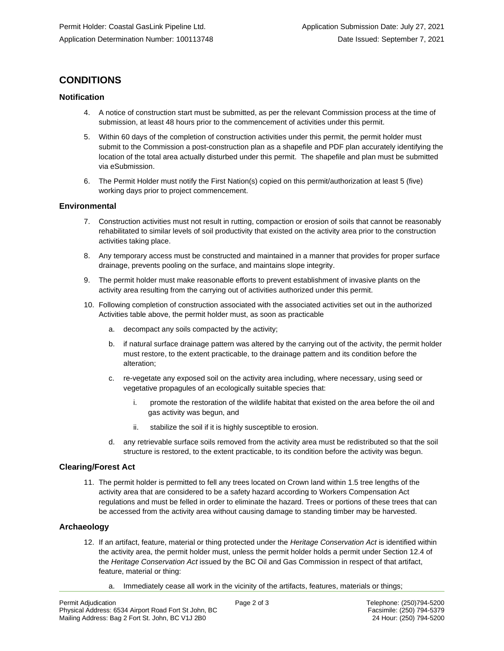## **CONDITIONS**

#### **Notification**

- 4. A notice of construction start must be submitted, as per the relevant Commission process at the time of submission, at least 48 hours prior to the commencement of activities under this permit.
- 5. Within 60 days of the completion of construction activities under this permit, the permit holder must submit to the Commission a post-construction plan as a shapefile and PDF plan accurately identifying the location of the total area actually disturbed under this permit. The shapefile and plan must be submitted via eSubmission.
- 6. The Permit Holder must notify the First Nation(s) copied on this permit/authorization at least 5 (five) working days prior to project commencement.

#### **Environmental**

- 7. Construction activities must not result in rutting, compaction or erosion of soils that cannot be reasonably rehabilitated to similar levels of soil productivity that existed on the activity area prior to the construction activities taking place.
- 8. Any temporary access must be constructed and maintained in a manner that provides for proper surface drainage, prevents pooling on the surface, and maintains slope integrity.
- 9. The permit holder must make reasonable efforts to prevent establishment of invasive plants on the activity area resulting from the carrying out of activities authorized under this permit.
- 10. Following completion of construction associated with the associated activities set out in the authorized Activities table above, the permit holder must, as soon as practicable
	- a. decompact any soils compacted by the activity;
	- b. if natural surface drainage pattern was altered by the carrying out of the activity, the permit holder must restore, to the extent practicable, to the drainage pattern and its condition before the alteration;
	- c. re-vegetate any exposed soil on the activity area including, where necessary, using seed or vegetative propagules of an ecologically suitable species that:
		- i. promote the restoration of the wildlife habitat that existed on the area before the oil and gas activity was begun, and
		- ii. stabilize the soil if it is highly susceptible to erosion.
	- d. any retrievable surface soils removed from the activity area must be redistributed so that the soil structure is restored, to the extent practicable, to its condition before the activity was begun.

#### **Clearing/Forest Act**

11. The permit holder is permitted to fell any trees located on Crown land within 1.5 tree lengths of the activity area that are considered to be a safety hazard according to Workers Compensation Act regulations and must be felled in order to eliminate the hazard. Trees or portions of these trees that can be accessed from the activity area without causing damage to standing timber may be harvested.

#### **Archaeology**

- 12. If an artifact, feature, material or thing protected under the *Heritage Conservation Act* is identified within the activity area, the permit holder must, unless the permit holder holds a permit under Section 12.4 of the *Heritage Conservation Act* issued by the BC Oil and Gas Commission in respect of that artifact, feature, material or thing:
	- a. Immediately cease all work in the vicinity of the artifacts, features, materials or things;